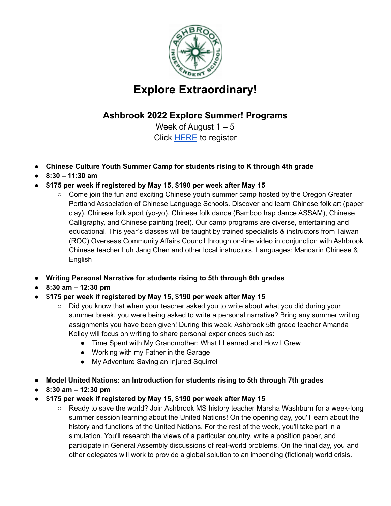

## **Explore Extraordinary!**

## **Ashbrook 2022 Explore Summer! Programs**

Week of August  $1 - 5$ Click [HERE](https://forms.gle/ZbCt6RwyBEhmvC1B6) to register

- **● Chinese Culture Youth Summer Camp for students rising to K through 4th grade**
- **● 8:30 – 11:30 am**
- **● \$175 per week if registered by May 15, \$190 per week after May 15**
	- Come join the fun and exciting Chinese youth summer camp hosted by the Oregon Greater Portland Association of Chinese Language Schools. Discover and learn Chinese folk art (paper clay), Chinese folk sport (yo-yo), Chinese folk dance (Bamboo trap dance ASSAM), Chinese Calligraphy, and Chinese painting (reel). Our camp programs are diverse, entertaining and educational. This year's classes will be taught by trained specialists & instructors from Taiwan (ROC) Overseas Community Affairs Council through on-line video in conjunction with Ashbrook Chinese teacher Luh Jang Chen and other local instructors. Languages: Mandarin Chinese & English
- **● Writing Personal Narrative for students rising to 5th through 6th grades**
- **● 8:30 am – 12:30 pm**
- **● \$175 per week if registered by May 15, \$190 per week after May 15**
	- Did you know that when your teacher asked you to write about what you did during your summer break, you were being asked to write a personal narrative? Bring any summer writing assignments you have been given! During this week, Ashbrook 5th grade teacher Amanda Kelley will focus on writing to share personal experiences such as:
		- Time Spent with My Grandmother: What I Learned and How I Grew
		- Working with my Father in the Garage
		- My Adventure Saving an Injured Squirrel
- **● Model United Nations: an Introduction for students rising to 5th through 7th grades**
- **● 8:30 am – 12:30 pm**
- **● \$175 per week if registered by May 15, \$190 per week after May 15**
	- Ready to save the world? Join Ashbrook MS history teacher Marsha Washburn for a week-long summer session learning about the United Nations! On the opening day, you'll learn about the history and functions of the United Nations. For the rest of the week, you'll take part in a simulation. You'll research the views of a particular country, write a position paper, and participate in General Assembly discussions of real-world problems. On the final day, you and other delegates will work to provide a global solution to an impending (fictional) world crisis.